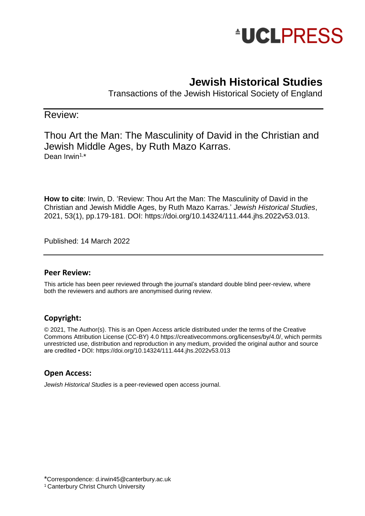

# **Jewish Historical Studies**

Transactions of the Jewish Historical Society of England

### Review:

Thou Art the Man: The Masculinity of David in the Christian and Jewish Middle Ages, by Ruth Mazo Karras. Dean Irwin<sup>1,\*</sup>

**How to cite**: Irwin, D. 'Review: Thou Art the Man: The Masculinity of David in the Christian and Jewish Middle Ages, by Ruth Mazo Karras.' *Jewish Historical Studies*, 2021, 53(1), pp.179-181. DOI: [https://doi.org/10.14324/111.444.jhs.2022v53.013.](https://doi.org/10.14324/111.444.jhs.2022v53.013)

Published: 14 March 2022

#### **Peer Review:**

This article has been peer reviewed through the journal's standard double blind peer-review, where both the reviewers and authors are anonymised during review.

#### **Copyright:**

© 2021, The Author(s). This is an Open Access article distributed under the terms of the Creative Commons Attribution License (CC-BY) 4.0 [https://creativecommons.org/licenses/by/4.0/,](https://creativecommons.org/licenses/by/4.0/) which permits unrestricted use, distribution and reproduction in any medium, provided the original author and source are credited • DOI:<https://doi.org/10.14324/111.444.jhs.2022v53.013>

#### **Open Access:**

*Jewish Historical Studies* is a peer-reviewed open access journal.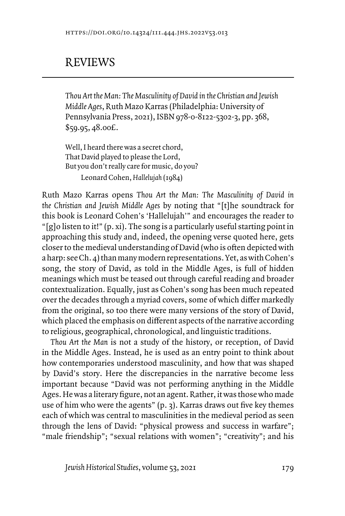## REVIEWS

*Thou Art the Man: The Masculinity of David in the Christian and Jewish Middle Ages*, Ruth Mazo Karras (Philadelphia: University of Pennsylvania Press, 2021), ISBN 978-0-8122-5302-3, pp. 368, \$59.95, 48.00£.

Well, I heard there was a secret chord, That David played to please the Lord, But you don't really care for music, do you? Leonard Cohen, *Hallelujah* (1984)

Ruth Mazo Karras opens *Thou Art the Man: The Masculinity of David in the Christian and Jewish Middle Ages* by noting that "[t]he soundtrack for this book is Leonard Cohen's 'Hallelujah'" and encourages the reader to "[g]o listen to it!" (p. xi). The song is a particularly useful starting point in approaching this study and, indeed, the opening verse quoted here, gets closer to the medieval understanding of David (who is often depicted with a harp: see Ch. 4) than many modern representations. Yet, as with Cohen's song, the story of David, as told in the Middle Ages, is full of hidden meanings which must be teased out through careful reading and broader contextualization. Equally, just as Cohen's song has been much repeated over the decades through a myriad covers, some of which differ markedly from the original, so too there were many versions of the story of David, which placed the emphasis on different aspects of the narrative according to religious, geographical, chronological, and linguistic traditions.

*Thou Art the Man* is not a study of the history, or reception, of David in the Middle Ages. Instead, he is used as an entry point to think about how contemporaries understood masculinity, and how that was shaped by David's story. Here the discrepancies in the narrative become less important because "David was not performing anything in the Middle Ages. He was a literary figure, not an agent. Rather, it was those who made use of him who were the agents" (p. 3). Karras draws out five key themes each of which was central to masculinities in the medieval period as seen through the lens of David: "physical prowess and success in warfare"; "male friendship"; "sexual relations with women"; "creativity"; and his

*Jewish Historical Studies, volume 53, 2021* 179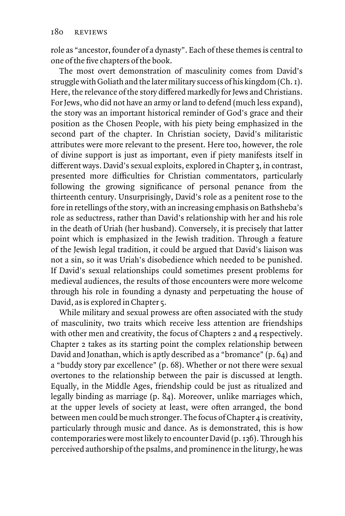role as "ancestor, founder of a dynasty". Each of these themes is central to one of the five chapters of the book.

The most overt demonstration of masculinity comes from David's struggle with Goliath and the later military success of his kingdom (Ch. 1). Here, the relevance of the story differed markedly for Jews and Christians. For Jews, who did not have an army or land to defend (much less expand), the story was an important historical reminder of God's grace and their position as the Chosen People, with his piety being emphasized in the second part of the chapter. In Christian society, David's militaristic attributes were more relevant to the present. Here too, however, the role of divine support is just as important, even if piety manifests itself in different ways. David's sexual exploits, explored in Chapter 3, in contrast, presented more difficulties for Christian commentators, particularly following the growing significance of personal penance from the thirteenth century. Unsurprisingly, David's role as a penitent rose to the fore in retellings of the story, with an increasing emphasis on Bathsheba's role as seductress, rather than David's relationship with her and his role in the death of Uriah (her husband). Conversely, it is precisely that latter point which is emphasized in the Jewish tradition. Through a feature of the Jewish legal tradition, it could be argued that David's liaison was not a sin, so it was Uriah's disobedience which needed to be punished. If David's sexual relationships could sometimes present problems for medieval audiences, the results of those encounters were more welcome through his role in founding a dynasty and perpetuating the house of David, as is explored in Chapter 5.

While military and sexual prowess are often associated with the study of masculinity, two traits which receive less attention are friendships with other men and creativity, the focus of Chapters 2 and 4 respectively. Chapter 2 takes as its starting point the complex relationship between David and Jonathan, which is aptly described as a "bromance" (p. 64) and a "buddy story par excellence" (p. 68). Whether or not there were sexual overtones to the relationship between the pair is discussed at length. Equally, in the Middle Ages, friendship could be just as ritualized and legally binding as marriage (p. 84). Moreover, unlike marriages which, at the upper levels of society at least, were often arranged, the bond between men could be much stronger. The focus of Chapter 4 is creativity, particularly through music and dance. As is demonstrated, this is how contemporaries were most likely to encounter David (p. 136). Through his perceived authorship of the psalms, and prominence in the liturgy, he was